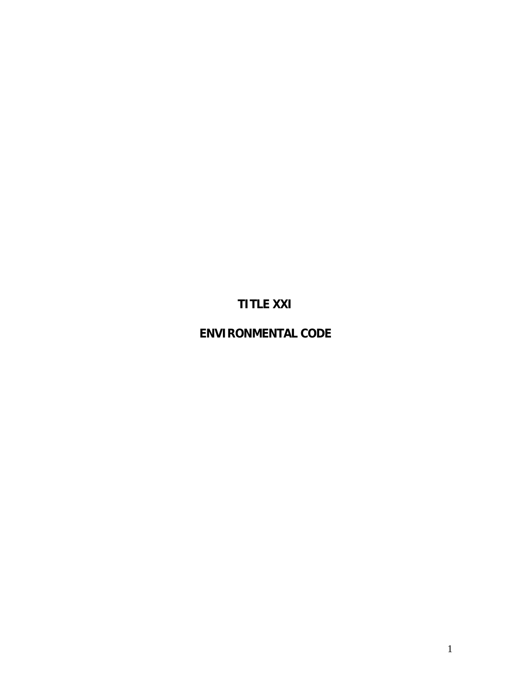# **TITLE XXI**

# **ENVIRONMENTAL CODE**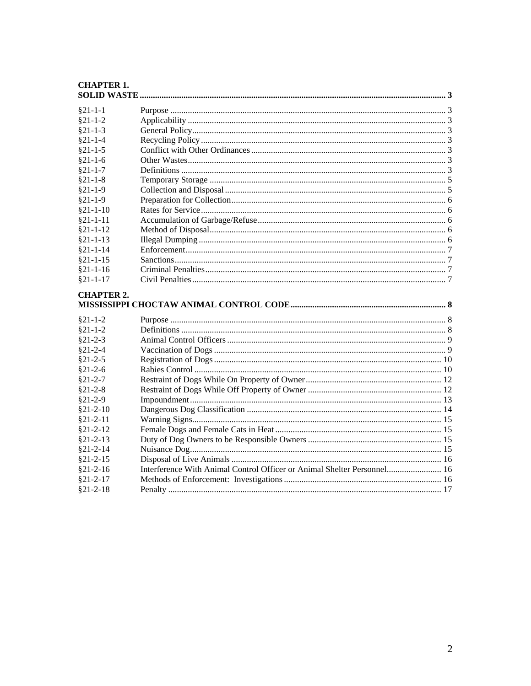#### **CHAPTER 1.**  $COT$  ID  $WAP$

| $§21-1-1$         |                                                                         |  |  |  |
|-------------------|-------------------------------------------------------------------------|--|--|--|
| $§21-1-2$         |                                                                         |  |  |  |
| $§21-1-3$         |                                                                         |  |  |  |
| $§21 - 1 - 4$     |                                                                         |  |  |  |
| $§21-1-5$         |                                                                         |  |  |  |
| $§21-1-6$         |                                                                         |  |  |  |
| $§21 - 1 - 7$     |                                                                         |  |  |  |
| $$21-1-8$         |                                                                         |  |  |  |
| $§21-1-9$         |                                                                         |  |  |  |
| $§21-1-9$         |                                                                         |  |  |  |
| $§21-1-10$        |                                                                         |  |  |  |
| $§21 - 1 - 11$    |                                                                         |  |  |  |
| $§21 - 1 - 12$    |                                                                         |  |  |  |
| $§21 - 1 - 13$    |                                                                         |  |  |  |
| $§21 - 1 - 14$    |                                                                         |  |  |  |
| $§21-1-15$        |                                                                         |  |  |  |
| $§21-1-16$        |                                                                         |  |  |  |
| $§21 - 1 - 17$    |                                                                         |  |  |  |
| <b>CHAPTER 2.</b> |                                                                         |  |  |  |
|                   |                                                                         |  |  |  |
| $§21 - 1 - 2$     |                                                                         |  |  |  |
| $§21 - 1 - 2$     |                                                                         |  |  |  |
| $§21-2-3$         |                                                                         |  |  |  |
| $$21-2-4$         |                                                                         |  |  |  |
| $§21-2-5$         |                                                                         |  |  |  |
| $§21-2-6$         |                                                                         |  |  |  |
| $§21 - 2 - 7$     |                                                                         |  |  |  |
| $§21-2-8$         |                                                                         |  |  |  |
| $$21-2-9$         |                                                                         |  |  |  |
| $§21 - 2 - 10$    |                                                                         |  |  |  |
| $§21 - 2 - 11$    |                                                                         |  |  |  |
| $§21 - 2 - 12$    |                                                                         |  |  |  |
| $§21 - 2 - 13$    |                                                                         |  |  |  |
| $§21 - 2 - 14$    |                                                                         |  |  |  |
| $§21 - 2 - 15$    |                                                                         |  |  |  |
| $§21 - 2 - 16$    | Interference With Animal Control Officer or Animal Shelter Personnel 16 |  |  |  |
| $§21 - 2 - 17$    |                                                                         |  |  |  |
| $§21 - 2 - 18$    |                                                                         |  |  |  |
|                   |                                                                         |  |  |  |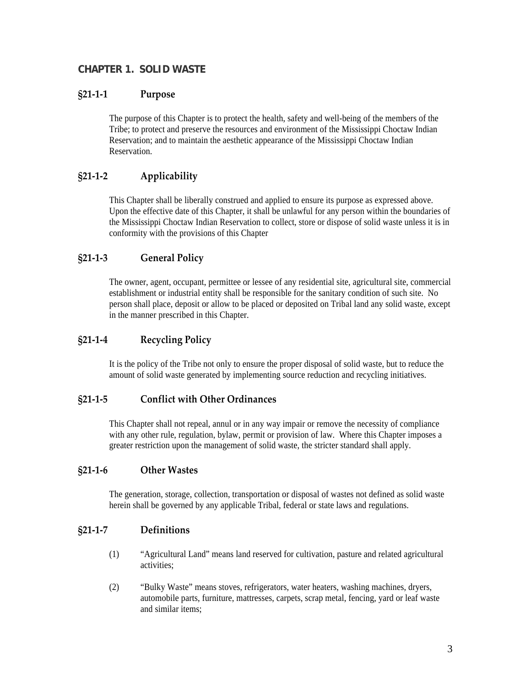# <span id="page-2-0"></span>**CHAPTER 1. SOLID WASTE**

### **§21‐1‐1 Purpose**

The purpose of this Chapter is to protect the health, safety and well-being of the members of the Tribe; to protect and preserve the resources and environment of the Mississippi Choctaw Indian Reservation; and to maintain the aesthetic appearance of the Mississippi Choctaw Indian Reservation.

# **§21‐1‐2 Applicability**

This Chapter shall be liberally construed and applied to ensure its purpose as expressed above. Upon the effective date of this Chapter, it shall be unlawful for any person within the boundaries of the Mississippi Choctaw Indian Reservation to collect, store or dispose of solid waste unless it is in conformity with the provisions of this Chapter

# **§21‐1‐3 General Policy**

The owner, agent, occupant, permittee or lessee of any residential site, agricultural site, commercial establishment or industrial entity shall be responsible for the sanitary condition of such site. No person shall place, deposit or allow to be placed or deposited on Tribal land any solid waste, except in the manner prescribed in this Chapter.

### **§21‐1‐4 Recycling Policy**

It is the policy of the Tribe not only to ensure the proper disposal of solid waste, but to reduce the amount of solid waste generated by implementing source reduction and recycling initiatives.

#### **§21‐1‐5 Conflict with Other Ordinances**

This Chapter shall not repeal, annul or in any way impair or remove the necessity of compliance with any other rule, regulation, bylaw, permit or provision of law. Where this Chapter imposes a greater restriction upon the management of solid waste, the stricter standard shall apply.

#### **§21‐1‐6 Other Wastes**

The generation, storage, collection, transportation or disposal of wastes not defined as solid waste herein shall be governed by any applicable Tribal, federal or state laws and regulations.

#### **§21‐1‐7 Definitions**

- (1) "Agricultural Land" means land reserved for cultivation, pasture and related agricultural activities;
- (2) "Bulky Waste" means stoves, refrigerators, water heaters, washing machines, dryers, automobile parts, furniture, mattresses, carpets, scrap metal, fencing, yard or leaf waste and similar items;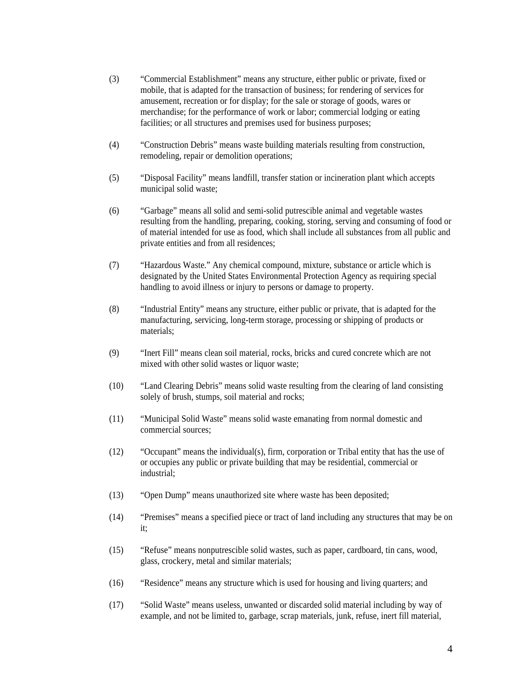- (3) "Commercial Establishment" means any structure, either public or private, fixed or mobile, that is adapted for the transaction of business; for rendering of services for amusement, recreation or for display; for the sale or storage of goods, wares or merchandise; for the performance of work or labor; commercial lodging or eating facilities; or all structures and premises used for business purposes;
- (4) "Construction Debris" means waste building materials resulting from construction, remodeling, repair or demolition operations;
- (5) "Disposal Facility" means landfill, transfer station or incineration plant which accepts municipal solid waste;
- (6) "Garbage" means all solid and semi-solid putrescible animal and vegetable wastes resulting from the handling, preparing, cooking, storing, serving and consuming of food or of material intended for use as food, which shall include all substances from all public and private entities and from all residences;
- (7) "Hazardous Waste." Any chemical compound, mixture, substance or article which is designated by the United States Environmental Protection Agency as requiring special handling to avoid illness or injury to persons or damage to property.
- (8) "Industrial Entity" means any structure, either public or private, that is adapted for the manufacturing, servicing, long-term storage, processing or shipping of products or materials;
- (9) "Inert Fill" means clean soil material, rocks, bricks and cured concrete which are not mixed with other solid wastes or liquor waste;
- (10) "Land Clearing Debris" means solid waste resulting from the clearing of land consisting solely of brush, stumps, soil material and rocks;
- (11) "Municipal Solid Waste" means solid waste emanating from normal domestic and commercial sources;
- (12) "Occupant" means the individual(s), firm, corporation or Tribal entity that has the use of or occupies any public or private building that may be residential, commercial or industrial;
- (13) "Open Dump" means unauthorized site where waste has been deposited;
- (14) "Premises" means a specified piece or tract of land including any structures that may be on it;
- (15) "Refuse" means nonputrescible solid wastes, such as paper, cardboard, tin cans, wood, glass, crockery, metal and similar materials;
- (16) "Residence" means any structure which is used for housing and living quarters; and
- (17) "Solid Waste" means useless, unwanted or discarded solid material including by way of example, and not be limited to, garbage, scrap materials, junk, refuse, inert fill material,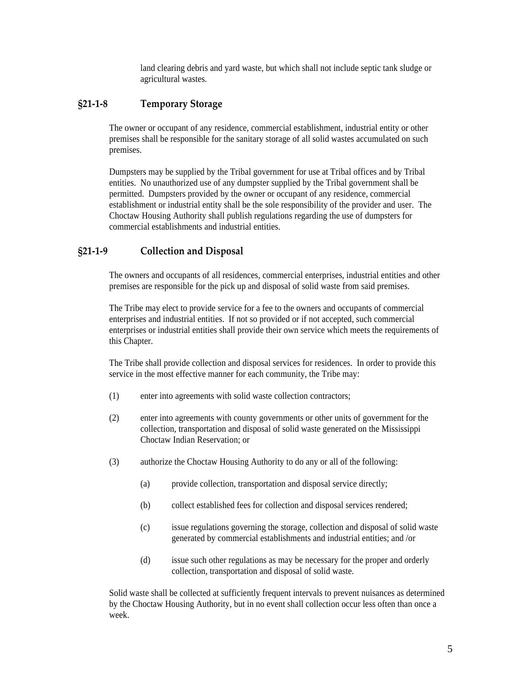land clearing debris and yard waste, but which shall not include septic tank sludge or agricultural wastes.

#### <span id="page-4-0"></span>**§21‐1‐8 Temporary Storage**

The owner or occupant of any residence, commercial establishment, industrial entity or other premises shall be responsible for the sanitary storage of all solid wastes accumulated on such premises.

Dumpsters may be supplied by the Tribal government for use at Tribal offices and by Tribal entities. No unauthorized use of any dumpster supplied by the Tribal government shall be permitted. Dumpsters provided by the owner or occupant of any residence, commercial establishment or industrial entity shall be the sole responsibility of the provider and user. The Choctaw Housing Authority shall publish regulations regarding the use of dumpsters for commercial establishments and industrial entities.

#### **§21‐1‐9 Collection and Disposal**

The owners and occupants of all residences, commercial enterprises, industrial entities and other premises are responsible for the pick up and disposal of solid waste from said premises.

The Tribe may elect to provide service for a fee to the owners and occupants of commercial enterprises and industrial entities. If not so provided or if not accepted, such commercial enterprises or industrial entities shall provide their own service which meets the requirements of this Chapter.

The Tribe shall provide collection and disposal services for residences. In order to provide this service in the most effective manner for each community, the Tribe may:

- (1) enter into agreements with solid waste collection contractors;
- (2) enter into agreements with county governments or other units of government for the collection, transportation and disposal of solid waste generated on the Mississippi Choctaw Indian Reservation; or
- (3) authorize the Choctaw Housing Authority to do any or all of the following:
	- (a) provide collection, transportation and disposal service directly;
	- (b) collect established fees for collection and disposal services rendered;
	- (c) issue regulations governing the storage, collection and disposal of solid waste generated by commercial establishments and industrial entities; and /or
	- (d) issue such other regulations as may be necessary for the proper and orderly collection, transportation and disposal of solid waste.

Solid waste shall be collected at sufficiently frequent intervals to prevent nuisances as determined by the Choctaw Housing Authority, but in no event shall collection occur less often than once a week.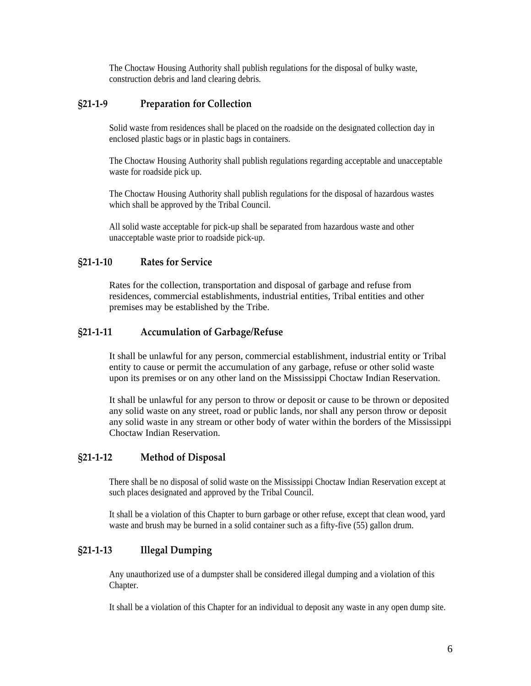The Choctaw Housing Authority shall publish regulations for the disposal of bulky waste, construction debris and land clearing debris.

# <span id="page-5-0"></span>**§21‐1‐9 Preparation for Collection**

Solid waste from residences shall be placed on the roadside on the designated collection day in enclosed plastic bags or in plastic bags in containers.

The Choctaw Housing Authority shall publish regulations regarding acceptable and unacceptable waste for roadside pick up.

The Choctaw Housing Authority shall publish regulations for the disposal of hazardous wastes which shall be approved by the Tribal Council.

All solid waste acceptable for pick-up shall be separated from hazardous waste and other unacceptable waste prior to roadside pick-up.

# **§21‐1‐10 Rates for Service**

Rates for the collection, transportation and disposal of garbage and refuse from residences, commercial establishments, industrial entities, Tribal entities and other premises may be established by the Tribe.

# **§21‐1‐11 Accumulation of Garbage/Refuse**

It shall be unlawful for any person, commercial establishment, industrial entity or Tribal entity to cause or permit the accumulation of any garbage, refuse or other solid waste upon its premises or on any other land on the Mississippi Choctaw Indian Reservation.

It shall be unlawful for any person to throw or deposit or cause to be thrown or deposited any solid waste on any street, road or public lands, nor shall any person throw or deposit any solid waste in any stream or other body of water within the borders of the Mississippi Choctaw Indian Reservation.

# **§21‐1‐12 Method of Disposal**

There shall be no disposal of solid waste on the Mississippi Choctaw Indian Reservation except at such places designated and approved by the Tribal Council.

It shall be a violation of this Chapter to burn garbage or other refuse, except that clean wood, yard waste and brush may be burned in a solid container such as a fifty-five (55) gallon drum.

# **§21‐1‐13 Illegal Dumping**

Any unauthorized use of a dumpster shall be considered illegal dumping and a violation of this Chapter.

It shall be a violation of this Chapter for an individual to deposit any waste in any open dump site.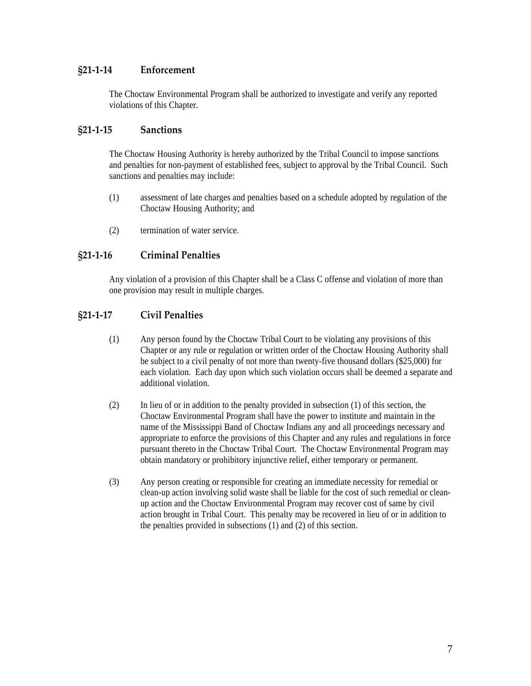# <span id="page-6-0"></span>**§21‐1‐14 Enforcement**

The Choctaw Environmental Program shall be authorized to investigate and verify any reported violations of this Chapter.

### **§21‐1‐15 Sanctions**

The Choctaw Housing Authority is hereby authorized by the Tribal Council to impose sanctions and penalties for non-payment of established fees, subject to approval by the Tribal Council. Such sanctions and penalties may include:

- (1) assessment of late charges and penalties based on a schedule adopted by regulation of the Choctaw Housing Authority; and
- (2) termination of water service.

# **§21‐1‐16 Criminal Penalties**

Any violation of a provision of this Chapter shall be a Class C offense and violation of more than one provision may result in multiple charges.

# **§21‐1‐17 Civil Penalties**

- (1) Any person found by the Choctaw Tribal Court to be violating any provisions of this Chapter or any rule or regulation or written order of the Choctaw Housing Authority shall be subject to a civil penalty of not more than twenty-five thousand dollars (\$25,000) for each violation. Each day upon which such violation occurs shall be deemed a separate and additional violation.
- (2) In lieu of or in addition to the penalty provided in subsection (1) of this section, the Choctaw Environmental Program shall have the power to institute and maintain in the name of the Mississippi Band of Choctaw Indians any and all proceedings necessary and appropriate to enforce the provisions of this Chapter and any rules and regulations in force pursuant thereto in the Choctaw Tribal Court. The Choctaw Environmental Program may obtain mandatory or prohibitory injunctive relief, either temporary or permanent.
- (3) Any person creating or responsible for creating an immediate necessity for remedial or clean-up action involving solid waste shall be liable for the cost of such remedial or cleanup action and the Choctaw Environmental Program may recover cost of same by civil action brought in Tribal Court. This penalty may be recovered in lieu of or in addition to the penalties provided in subsections (1) and (2) of this section.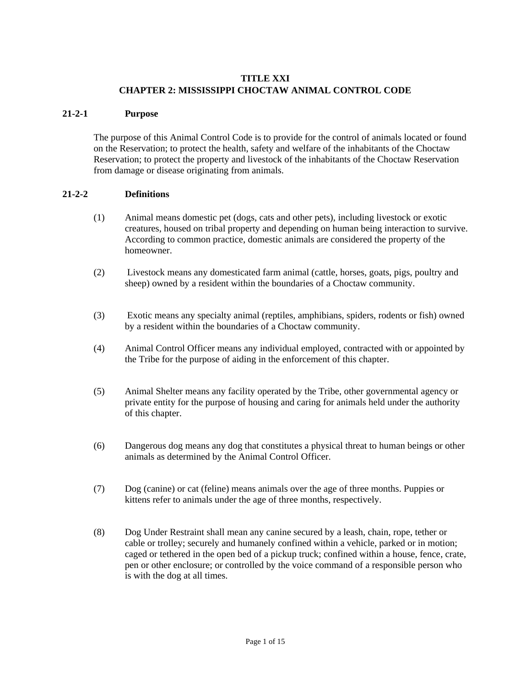# **TITLE XXI CHAPTER 2: MISSISSIPPI CHOCTAW ANIMAL CONTROL CODE**

#### **21-2-1 Purpose**

The purpose of this Animal Control Code is to provide for the control of animals located or found on the Reservation; to protect the health, safety and welfare of the inhabitants of the Choctaw Reservation; to protect the property and livestock of the inhabitants of the Choctaw Reservation from damage or disease originating from animals.

#### **21-2-2 Definitions**

- (1) Animal means domestic pet (dogs, cats and other pets), including livestock or exotic creatures, housed on tribal property and depending on human being interaction to survive. According to common practice, domestic animals are considered the property of the homeowner.
- (2) Livestock means any domesticated farm animal (cattle, horses, goats, pigs, poultry and sheep) owned by a resident within the boundaries of a Choctaw community.
- (3) Exotic means any specialty animal (reptiles, amphibians, spiders, rodents or fish) owned by a resident within the boundaries of a Choctaw community.
- (4) Animal Control Officer means any individual employed, contracted with or appointed by the Tribe for the purpose of aiding in the enforcement of this chapter.
- (5) Animal Shelter means any facility operated by the Tribe, other governmental agency or private entity for the purpose of housing and caring for animals held under the authority of this chapter.
- (6) Dangerous dog means any dog that constitutes a physical threat to human beings or other animals as determined by the Animal Control Officer.
- (7) Dog (canine) or cat (feline) means animals over the age of three months. Puppies or kittens refer to animals under the age of three months, respectively.
- (8) Dog Under Restraint shall mean any canine secured by a leash, chain, rope, tether or cable or trolley; securely and humanely confined within a vehicle, parked or in motion; caged or tethered in the open bed of a pickup truck; confined within a house, fence, crate, pen or other enclosure; or controlled by the voice command of a responsible person who is with the dog at all times.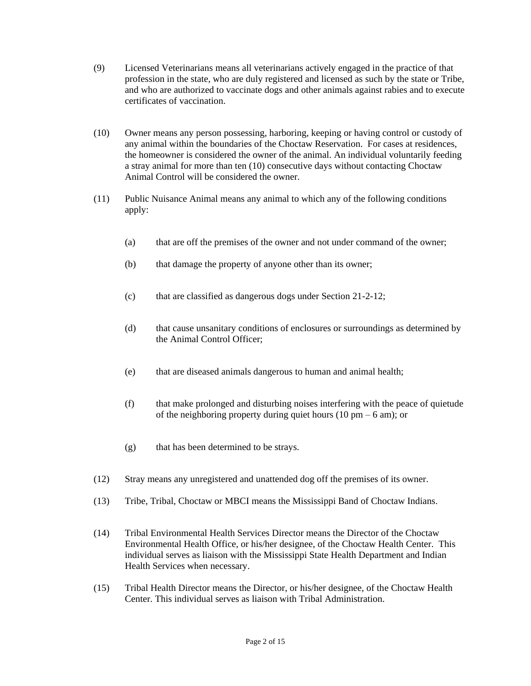- (9) Licensed Veterinarians means all veterinarians actively engaged in the practice of that profession in the state, who are duly registered and licensed as such by the state or Tribe, and who are authorized to vaccinate dogs and other animals against rabies and to execute certificates of vaccination.
- (10) Owner means any person possessing, harboring, keeping or having control or custody of any animal within the boundaries of the Choctaw Reservation. For cases at residences, the homeowner is considered the owner of the animal. An individual voluntarily feeding a stray animal for more than ten (10) consecutive days without contacting Choctaw Animal Control will be considered the owner.
- (11) Public Nuisance Animal means any animal to which any of the following conditions apply:
	- (a) that are off the premises of the owner and not under command of the owner;
	- (b) that damage the property of anyone other than its owner;
	- (c) that are classified as dangerous dogs under Section 21-2-12;
	- (d) that cause unsanitary conditions of enclosures or surroundings as determined by the Animal Control Officer;
	- (e) that are diseased animals dangerous to human and animal health;
	- (f) that make prolonged and disturbing noises interfering with the peace of quietude of the neighboring property during quiet hours (10 pm – 6 am); or
	- (g) that has been determined to be strays.
- (12) Stray means any unregistered and unattended dog off the premises of its owner.
- (13) Tribe, Tribal, Choctaw or MBCI means the Mississippi Band of Choctaw Indians.
- (14) Tribal Environmental Health Services Director means the Director of the Choctaw Environmental Health Office, or his/her designee, of the Choctaw Health Center. This individual serves as liaison with the Mississippi State Health Department and Indian Health Services when necessary.
- (15) Tribal Health Director means the Director, or his/her designee, of the Choctaw Health Center. This individual serves as liaison with Tribal Administration.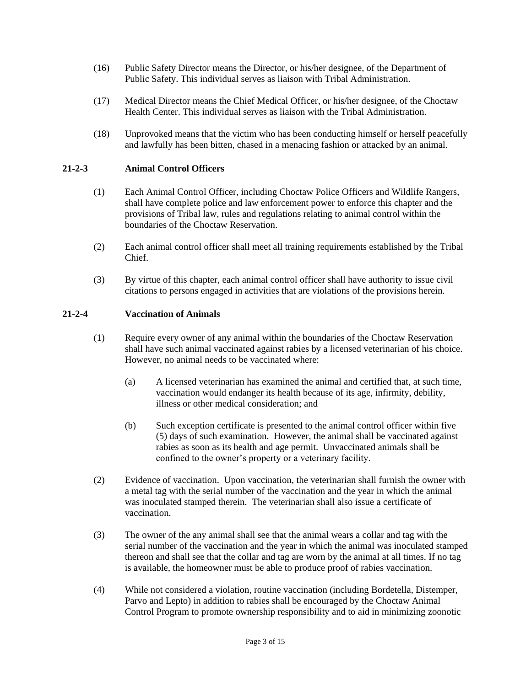- (16) Public Safety Director means the Director, or his/her designee, of the Department of Public Safety. This individual serves as liaison with Tribal Administration.
- (17) Medical Director means the Chief Medical Officer, or his/her designee, of the Choctaw Health Center. This individual serves as liaison with the Tribal Administration.
- (18) Unprovoked means that the victim who has been conducting himself or herself peacefully and lawfully has been bitten, chased in a menacing fashion or attacked by an animal.

#### **21-2-3 Animal Control Officers**

- (1) Each Animal Control Officer, including Choctaw Police Officers and Wildlife Rangers, shall have complete police and law enforcement power to enforce this chapter and the provisions of Tribal law, rules and regulations relating to animal control within the boundaries of the Choctaw Reservation.
- (2) Each animal control officer shall meet all training requirements established by the Tribal Chief.
- (3) By virtue of this chapter, each animal control officer shall have authority to issue civil citations to persons engaged in activities that are violations of the provisions herein.

#### **21-2-4 Vaccination of Animals**

- (1) Require every owner of any animal within the boundaries of the Choctaw Reservation shall have such animal vaccinated against rabies by a licensed veterinarian of his choice. However, no animal needs to be vaccinated where:
	- (a) A licensed veterinarian has examined the animal and certified that, at such time, vaccination would endanger its health because of its age, infirmity, debility, illness or other medical consideration; and
	- (b) Such exception certificate is presented to the animal control officer within five (5) days of such examination. However, the animal shall be vaccinated against rabies as soon as its health and age permit. Unvaccinated animals shall be confined to the owner's property or a veterinary facility.
- (2) Evidence of vaccination. Upon vaccination, the veterinarian shall furnish the owner with a metal tag with the serial number of the vaccination and the year in which the animal was inoculated stamped therein. The veterinarian shall also issue a certificate of vaccination.
- (3) The owner of the any animal shall see that the animal wears a collar and tag with the serial number of the vaccination and the year in which the animal was inoculated stamped thereon and shall see that the collar and tag are worn by the animal at all times. If no tag is available, the homeowner must be able to produce proof of rabies vaccination.
- (4) While not considered a violation, routine vaccination (including Bordetella, Distemper, Parvo and Lepto) in addition to rabies shall be encouraged by the Choctaw Animal Control Program to promote ownership responsibility and to aid in minimizing zoonotic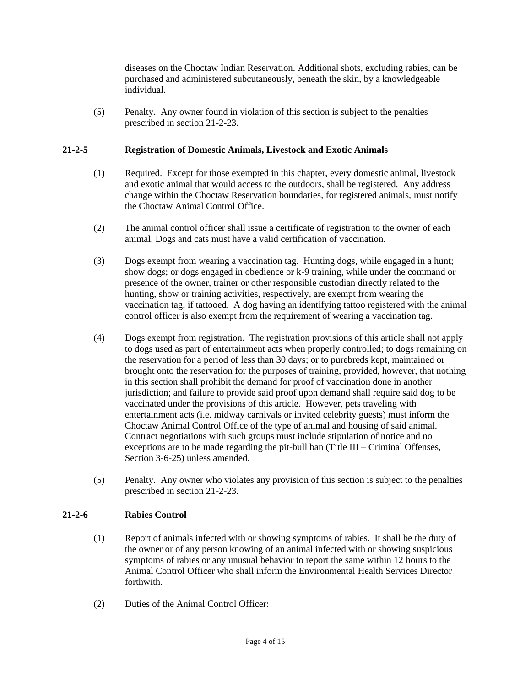diseases on the Choctaw Indian Reservation. Additional shots, excluding rabies, can be purchased and administered subcutaneously, beneath the skin, by a knowledgeable individual.

(5) Penalty. Any owner found in violation of this section is subject to the penalties prescribed in section 21-2-23.

#### **21-2-5 Registration of Domestic Animals, Livestock and Exotic Animals**

- (1) Required. Except for those exempted in this chapter, every domestic animal, livestock and exotic animal that would access to the outdoors, shall be registered. Any address change within the Choctaw Reservation boundaries, for registered animals, must notify the Choctaw Animal Control Office.
- (2) The animal control officer shall issue a certificate of registration to the owner of each animal. Dogs and cats must have a valid certification of vaccination.
- (3) Dogs exempt from wearing a vaccination tag. Hunting dogs, while engaged in a hunt; show dogs; or dogs engaged in obedience or k-9 training, while under the command or presence of the owner, trainer or other responsible custodian directly related to the hunting, show or training activities, respectively, are exempt from wearing the vaccination tag, if tattooed. A dog having an identifying tattoo registered with the animal control officer is also exempt from the requirement of wearing a vaccination tag.
- (4) Dogs exempt from registration. The registration provisions of this article shall not apply to dogs used as part of entertainment acts when properly controlled; to dogs remaining on the reservation for a period of less than 30 days; or to purebreds kept, maintained or brought onto the reservation for the purposes of training, provided, however, that nothing in this section shall prohibit the demand for proof of vaccination done in another jurisdiction; and failure to provide said proof upon demand shall require said dog to be vaccinated under the provisions of this article. However, pets traveling with entertainment acts (i.e. midway carnivals or invited celebrity guests) must inform the Choctaw Animal Control Office of the type of animal and housing of said animal. Contract negotiations with such groups must include stipulation of notice and no exceptions are to be made regarding the pit-bull ban (Title III – Criminal Offenses, Section 3-6-25) unless amended.
- (5) Penalty. Any owner who violates any provision of this section is subject to the penalties prescribed in section 21-2-23.

# **21-2-6 Rabies Control**

- (1) Report of animals infected with or showing symptoms of rabies. It shall be the duty of the owner or of any person knowing of an animal infected with or showing suspicious symptoms of rabies or any unusual behavior to report the same within 12 hours to the Animal Control Officer who shall inform the Environmental Health Services Director forthwith.
- (2) Duties of the Animal Control Officer: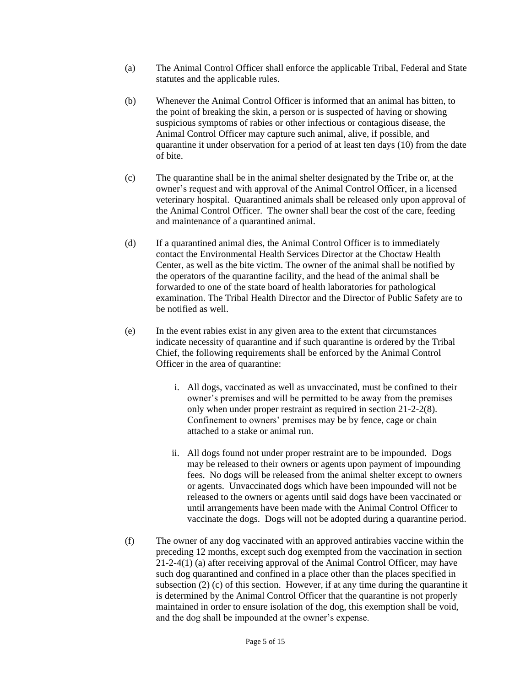- (a) The Animal Control Officer shall enforce the applicable Tribal, Federal and State statutes and the applicable rules.
- (b) Whenever the Animal Control Officer is informed that an animal has bitten, to the point of breaking the skin, a person or is suspected of having or showing suspicious symptoms of rabies or other infectious or contagious disease, the Animal Control Officer may capture such animal, alive, if possible, and quarantine it under observation for a period of at least ten days (10) from the date of bite.
- (c) The quarantine shall be in the animal shelter designated by the Tribe or, at the owner's request and with approval of the Animal Control Officer, in a licensed veterinary hospital. Quarantined animals shall be released only upon approval of the Animal Control Officer. The owner shall bear the cost of the care, feeding and maintenance of a quarantined animal.
- (d) If a quarantined animal dies, the Animal Control Officer is to immediately contact the Environmental Health Services Director at the Choctaw Health Center, as well as the bite victim. The owner of the animal shall be notified by the operators of the quarantine facility, and the head of the animal shall be forwarded to one of the state board of health laboratories for pathological examination. The Tribal Health Director and the Director of Public Safety are to be notified as well.
- (e) In the event rabies exist in any given area to the extent that circumstances indicate necessity of quarantine and if such quarantine is ordered by the Tribal Chief, the following requirements shall be enforced by the Animal Control Officer in the area of quarantine:
	- i. All dogs, vaccinated as well as unvaccinated, must be confined to their owner's premises and will be permitted to be away from the premises only when under proper restraint as required in section 21-2-2(8). Confinement to owners' premises may be by fence, cage or chain attached to a stake or animal run.
	- ii. All dogs found not under proper restraint are to be impounded. Dogs may be released to their owners or agents upon payment of impounding fees. No dogs will be released from the animal shelter except to owners or agents. Unvaccinated dogs which have been impounded will not be released to the owners or agents until said dogs have been vaccinated or until arrangements have been made with the Animal Control Officer to vaccinate the dogs. Dogs will not be adopted during a quarantine period.
- (f) The owner of any dog vaccinated with an approved antirabies vaccine within the preceding 12 months, except such dog exempted from the vaccination in section 21-2-4(1) (a) after receiving approval of the Animal Control Officer, may have such dog quarantined and confined in a place other than the places specified in subsection (2) (c) of this section. However, if at any time during the quarantine it is determined by the Animal Control Officer that the quarantine is not properly maintained in order to ensure isolation of the dog, this exemption shall be void, and the dog shall be impounded at the owner's expense.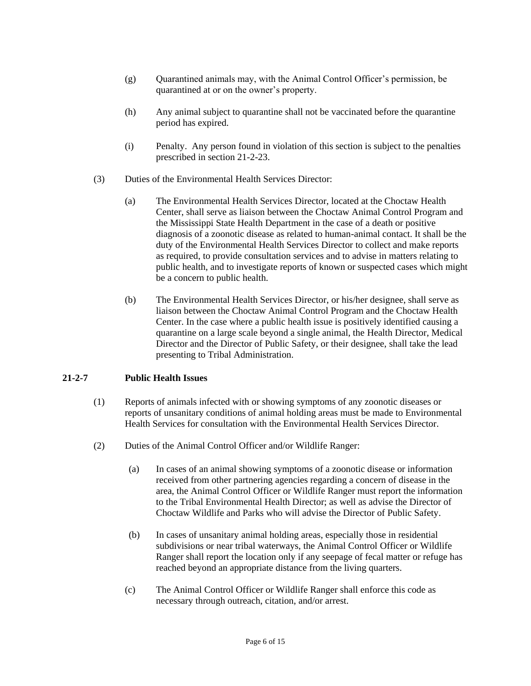- $(g)$  Quarantined animals may, with the Animal Control Officer's permission, be quarantined at or on the owner's property.
- (h) Any animal subject to quarantine shall not be vaccinated before the quarantine period has expired.
- (i) Penalty. Any person found in violation of this section is subject to the penalties prescribed in section 21-2-23.
- (3) Duties of the Environmental Health Services Director:
	- (a) The Environmental Health Services Director, located at the Choctaw Health Center, shall serve as liaison between the Choctaw Animal Control Program and the Mississippi State Health Department in the case of a death or positive diagnosis of a zoonotic disease as related to human-animal contact. It shall be the duty of the Environmental Health Services Director to collect and make reports as required, to provide consultation services and to advise in matters relating to public health, and to investigate reports of known or suspected cases which might be a concern to public health.
	- (b) The Environmental Health Services Director, or his/her designee, shall serve as liaison between the Choctaw Animal Control Program and the Choctaw Health Center. In the case where a public health issue is positively identified causing a quarantine on a large scale beyond a single animal, the Health Director, Medical Director and the Director of Public Safety, or their designee, shall take the lead presenting to Tribal Administration.

#### **21-2-7 Public Health Issues**

- (1) Reports of animals infected with or showing symptoms of any zoonotic diseases or reports of unsanitary conditions of animal holding areas must be made to Environmental Health Services for consultation with the Environmental Health Services Director.
- (2) Duties of the Animal Control Officer and/or Wildlife Ranger:
	- (a) In cases of an animal showing symptoms of a zoonotic disease or information received from other partnering agencies regarding a concern of disease in the area, the Animal Control Officer or Wildlife Ranger must report the information to the Tribal Environmental Health Director; as well as advise the Director of Choctaw Wildlife and Parks who will advise the Director of Public Safety.
	- (b) In cases of unsanitary animal holding areas, especially those in residential subdivisions or near tribal waterways, the Animal Control Officer or Wildlife Ranger shall report the location only if any seepage of fecal matter or refuge has reached beyond an appropriate distance from the living quarters.
	- (c) The Animal Control Officer or Wildlife Ranger shall enforce this code as necessary through outreach, citation, and/or arrest.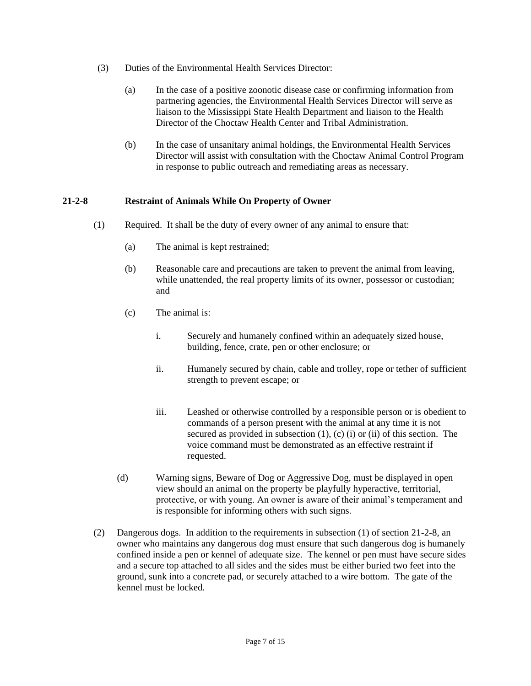- (3) Duties of the Environmental Health Services Director:
	- (a) In the case of a positive zoonotic disease case or confirming information from partnering agencies, the Environmental Health Services Director will serve as liaison to the Mississippi State Health Department and liaison to the Health Director of the Choctaw Health Center and Tribal Administration.
	- (b) In the case of unsanitary animal holdings, the Environmental Health Services Director will assist with consultation with the Choctaw Animal Control Program in response to public outreach and remediating areas as necessary.

#### **21-2-8 Restraint of Animals While On Property of Owner**

- (1) Required. It shall be the duty of every owner of any animal to ensure that:
	- (a) The animal is kept restrained;
	- (b) Reasonable care and precautions are taken to prevent the animal from leaving, while unattended, the real property limits of its owner, possessor or custodian; and
	- (c) The animal is:
		- i. Securely and humanely confined within an adequately sized house, building, fence, crate, pen or other enclosure; or
		- ii. Humanely secured by chain, cable and trolley, rope or tether of sufficient strength to prevent escape; or
		- iii. Leashed or otherwise controlled by a responsible person or is obedient to commands of a person present with the animal at any time it is not secured as provided in subsection  $(1)$ ,  $(c)$   $(i)$  or  $(ii)$  of this section. The voice command must be demonstrated as an effective restraint if requested.
	- (d) Warning signs, Beware of Dog or Aggressive Dog, must be displayed in open view should an animal on the property be playfully hyperactive, territorial, protective, or with young. An owner is aware of their animal's temperament and is responsible for informing others with such signs.
- (2) Dangerous dogs. In addition to the requirements in subsection (1) of section 21-2-8, an owner who maintains any dangerous dog must ensure that such dangerous dog is humanely confined inside a pen or kennel of adequate size. The kennel or pen must have secure sides and a secure top attached to all sides and the sides must be either buried two feet into the ground, sunk into a concrete pad, or securely attached to a wire bottom. The gate of the kennel must be locked.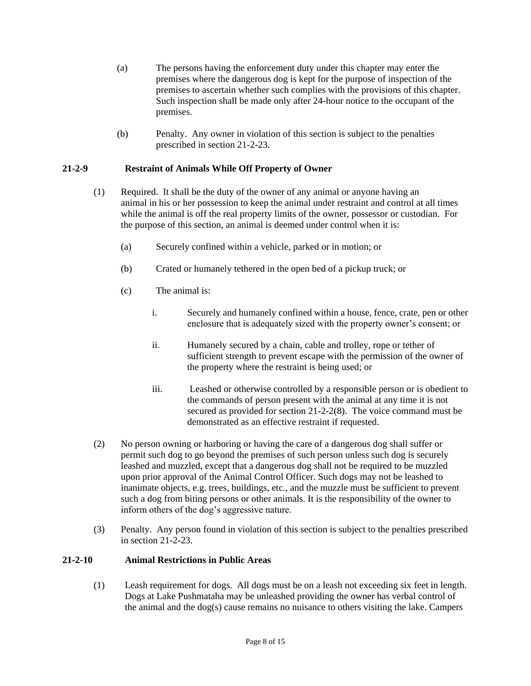- (a) The persons having the enforcement duty under this chapter may enter the premises where the dangerous dog is kept for the purpose of inspection of the premises to ascertain whether such complies with the provisions of this chapter. Such inspection shall be made only after 24-hour notice to the occupant of the premises.
- (b) Penalty. Any owner in violation of this section is subject to the penalties prescribed in section 21-2-23.

#### **21-2-9 Restraint of Animals While Off Property of Owner**

- (1) Required. It shall be the duty of the owner of any animal or anyone having an animal in his or her possession to keep the animal under restraint and control at all times while the animal is off the real property limits of the owner, possessor or custodian. For the purpose of this section, an animal is deemed under control when it is:
	- (a) Securely confined within a vehicle, parked or in motion; or
	- (b) Crated or humanely tethered in the open bed of a pickup truck; or
	- (c) The animal is:
		- i. Securely and humanely confined within a house, fence, crate, pen or other enclosure that is adequately sized with the property owner's consent; or
		- ii. Humanely secured by a chain, cable and trolley, rope or tether of sufficient strength to prevent escape with the permission of the owner of the property where the restraint is being used; or
		- iii. Leashed or otherwise controlled by a responsible person or is obedient to the commands of person present with the animal at any time it is not secured as provided for section 21-2-2(8). The voice command must be demonstrated as an effective restraint if requested.
- (2) No person owning or harboring or having the care of a dangerous dog shall suffer or permit such dog to go beyond the premises of such person unless such dog is securely leashed and muzzled, except that a dangerous dog shall not be required to be muzzled upon prior approval of the Animal Control Officer. Such dogs may not be leashed to inanimate objects, e.g. trees, buildings, etc., and the muzzle must be sufficient to prevent such a dog from biting persons or other animals. It is the responsibility of the owner to inform others of the dog's aggressive nature.
- (3) Penalty. Any person found in violation of this section is subject to the penalties prescribed in section 21-2-23.

#### **21-2-10 Animal Restrictions in Public Areas**

(1) Leash requirement for dogs. All dogs must be on a leash not exceeding six feet in length. Dogs at Lake Pushmataha may be unleashed providing the owner has verbal control of the animal and the dog(s) cause remains no nuisance to others visiting the lake. Campers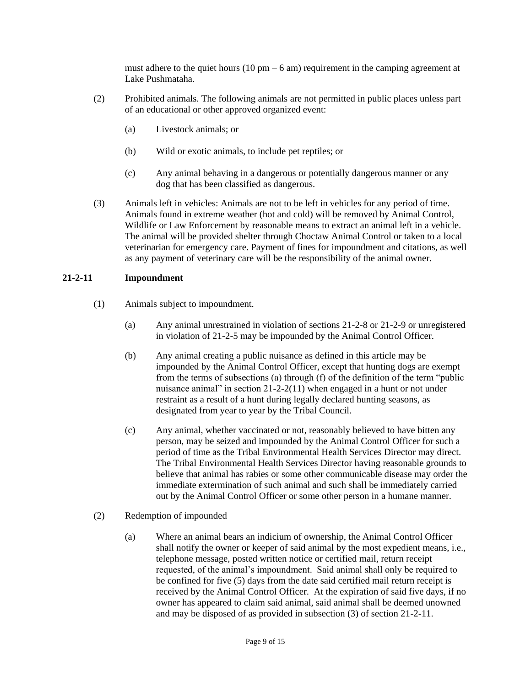must adhere to the quiet hours  $(10 \text{ pm} - 6 \text{ am})$  requirement in the camping agreement at Lake Pushmataha.

- (2) Prohibited animals. The following animals are not permitted in public places unless part of an educational or other approved organized event:
	- (a) Livestock animals; or
	- (b) Wild or exotic animals, to include pet reptiles; or
	- (c) Any animal behaving in a dangerous or potentially dangerous manner or any dog that has been classified as dangerous.
- (3) Animals left in vehicles: Animals are not to be left in vehicles for any period of time. Animals found in extreme weather (hot and cold) will be removed by Animal Control, Wildlife or Law Enforcement by reasonable means to extract an animal left in a vehicle. The animal will be provided shelter through Choctaw Animal Control or taken to a local veterinarian for emergency care. Payment of fines for impoundment and citations, as well as any payment of veterinary care will be the responsibility of the animal owner.

#### **21-2-11 Impoundment**

- (1) Animals subject to impoundment.
	- (a) Any animal unrestrained in violation of sections 21-2-8 or 21-2-9 or unregistered in violation of 21-2-5 may be impounded by the Animal Control Officer.
	- (b) Any animal creating a public nuisance as defined in this article may be impounded by the Animal Control Officer, except that hunting dogs are exempt from the terms of subsections (a) through (f) of the definition of the term "public nuisance animal" in section 21-2-2(11) when engaged in a hunt or not under restraint as a result of a hunt during legally declared hunting seasons, as designated from year to year by the Tribal Council.
	- (c) Any animal, whether vaccinated or not, reasonably believed to have bitten any person, may be seized and impounded by the Animal Control Officer for such a period of time as the Tribal Environmental Health Services Director may direct. The Tribal Environmental Health Services Director having reasonable grounds to believe that animal has rabies or some other communicable disease may order the immediate extermination of such animal and such shall be immediately carried out by the Animal Control Officer or some other person in a humane manner.
- (2) Redemption of impounded
	- (a) Where an animal bears an indicium of ownership, the Animal Control Officer shall notify the owner or keeper of said animal by the most expedient means, i.e., telephone message, posted written notice or certified mail, return receipt requested, of the animal's impoundment. Said animal shall only be required to be confined for five (5) days from the date said certified mail return receipt is received by the Animal Control Officer. At the expiration of said five days, if no owner has appeared to claim said animal, said animal shall be deemed unowned and may be disposed of as provided in subsection (3) of section 21-2-11.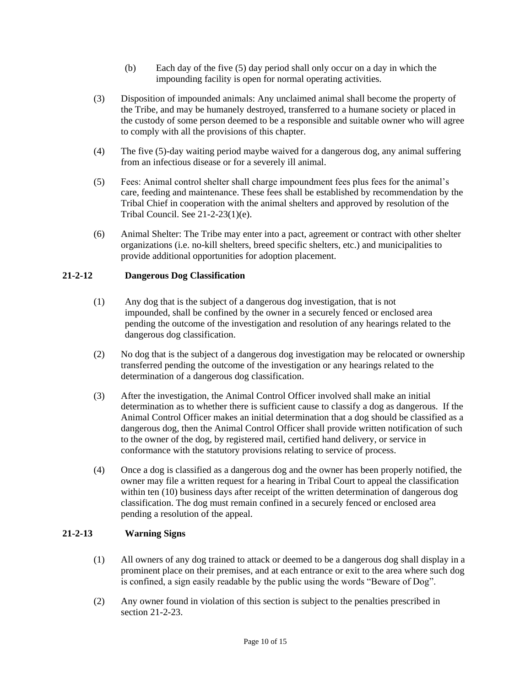- (b) Each day of the five (5) day period shall only occur on a day in which the impounding facility is open for normal operating activities.
- (3) Disposition of impounded animals: Any unclaimed animal shall become the property of the Tribe, and may be humanely destroyed, transferred to a humane society or placed in the custody of some person deemed to be a responsible and suitable owner who will agree to comply with all the provisions of this chapter.
- (4) The five (5)-day waiting period maybe waived for a dangerous dog, any animal suffering from an infectious disease or for a severely ill animal.
- (5) Fees: Animal control shelter shall charge impoundment fees plus fees for the animal's care, feeding and maintenance. These fees shall be established by recommendation by the Tribal Chief in cooperation with the animal shelters and approved by resolution of the Tribal Council. See 21-2-23(1)(e).
- (6) Animal Shelter: The Tribe may enter into a pact, agreement or contract with other shelter organizations (i.e. no-kill shelters, breed specific shelters, etc.) and municipalities to provide additional opportunities for adoption placement.

# **21-2-12 Dangerous Dog Classification**

- (1) Any dog that is the subject of a dangerous dog investigation, that is not impounded, shall be confined by the owner in a securely fenced or enclosed area pending the outcome of the investigation and resolution of any hearings related to the dangerous dog classification.
- (2) No dog that is the subject of a dangerous dog investigation may be relocated or ownership transferred pending the outcome of the investigation or any hearings related to the determination of a dangerous dog classification.
- (3) After the investigation, the Animal Control Officer involved shall make an initial determination as to whether there is sufficient cause to classify a dog as dangerous. If the Animal Control Officer makes an initial determination that a dog should be classified as a dangerous dog, then the Animal Control Officer shall provide written notification of such to the owner of the dog, by registered mail, certified hand delivery, or service in conformance with the statutory provisions relating to service of process.
- (4) Once a dog is classified as a dangerous dog and the owner has been properly notified, the owner may file a written request for a hearing in Tribal Court to appeal the classification within ten (10) business days after receipt of the written determination of dangerous dog classification. The dog must remain confined in a securely fenced or enclosed area pending a resolution of the appeal.

# **21-2-13 Warning Signs**

- (1) All owners of any dog trained to attack or deemed to be a dangerous dog shall display in a prominent place on their premises, and at each entrance or exit to the area where such dog is confined, a sign easily readable by the public using the words "Beware of Dog".
- (2) Any owner found in violation of this section is subject to the penalties prescribed in section 21-2-23.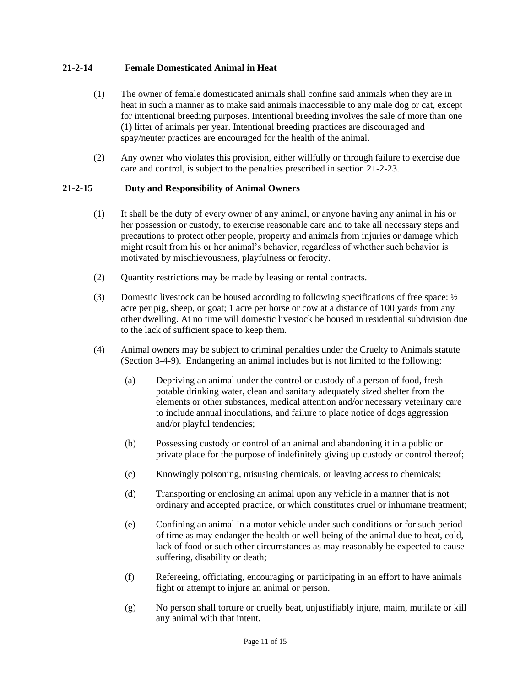### **21-2-14 Female Domesticated Animal in Heat**

- (1) The owner of female domesticated animals shall confine said animals when they are in heat in such a manner as to make said animals inaccessible to any male dog or cat, except for intentional breeding purposes. Intentional breeding involves the sale of more than one (1) litter of animals per year. Intentional breeding practices are discouraged and spay/neuter practices are encouraged for the health of the animal.
- (2) Any owner who violates this provision, either willfully or through failure to exercise due care and control, is subject to the penalties prescribed in section 21-2-23.

#### **21-2-15 Duty and Responsibility of Animal Owners**

- (1) It shall be the duty of every owner of any animal, or anyone having any animal in his or her possession or custody, to exercise reasonable care and to take all necessary steps and precautions to protect other people, property and animals from injuries or damage which might result from his or her animal's behavior, regardless of whether such behavior is motivated by mischievousness, playfulness or ferocity.
- (2) Quantity restrictions may be made by leasing or rental contracts.
- (3) Domestic livestock can be housed according to following specifications of free space:  $\frac{1}{2}$ acre per pig, sheep, or goat; 1 acre per horse or cow at a distance of 100 yards from any other dwelling. At no time will domestic livestock be housed in residential subdivision due to the lack of sufficient space to keep them.
- (4) Animal owners may be subject to criminal penalties under the Cruelty to Animals statute (Section 3-4-9). Endangering an animal includes but is not limited to the following:
	- (a) Depriving an animal under the control or custody of a person of food, fresh potable drinking water, clean and sanitary adequately sized shelter from the elements or other substances, medical attention and/or necessary veterinary care to include annual inoculations, and failure to place notice of dogs aggression and/or playful tendencies;
	- (b) Possessing custody or control of an animal and abandoning it in a public or private place for the purpose of indefinitely giving up custody or control thereof;
	- (c) Knowingly poisoning, misusing chemicals, or leaving access to chemicals;
	- (d) Transporting or enclosing an animal upon any vehicle in a manner that is not ordinary and accepted practice, or which constitutes cruel or inhumane treatment;
	- (e) Confining an animal in a motor vehicle under such conditions or for such period of time as may endanger the health or well-being of the animal due to heat, cold, lack of food or such other circumstances as may reasonably be expected to cause suffering, disability or death;
	- (f) Refereeing, officiating, encouraging or participating in an effort to have animals fight or attempt to injure an animal or person.
	- (g) No person shall torture or cruelly beat, unjustifiably injure, maim, mutilate or kill any animal with that intent.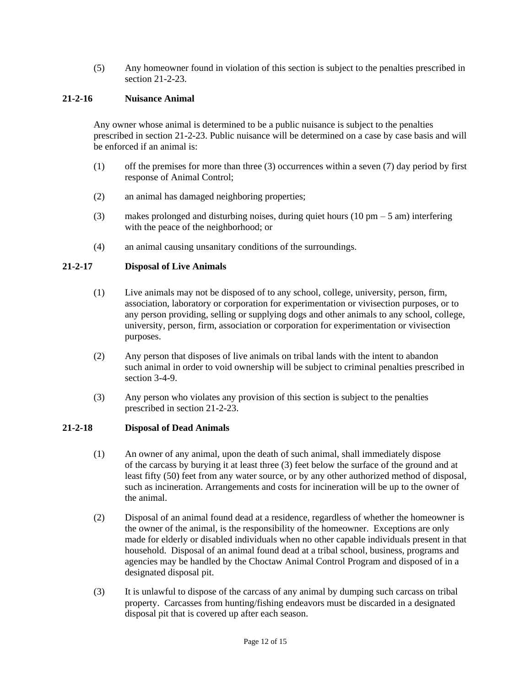(5) Any homeowner found in violation of this section is subject to the penalties prescribed in section 21-2-23.

#### **21-2-16 Nuisance Animal**

Any owner whose animal is determined to be a public nuisance is subject to the penalties prescribed in section 21-2-23. Public nuisance will be determined on a case by case basis and will be enforced if an animal is:

- (1) off the premises for more than three (3) occurrences within a seven (7) day period by first response of Animal Control;
- (2) an animal has damaged neighboring properties;
- (3) makes prolonged and disturbing noises, during quiet hours (10 pm 5 am) interfering with the peace of the neighborhood; or
- (4) an animal causing unsanitary conditions of the surroundings.

# **21-2-17 Disposal of Live Animals**

- (1) Live animals may not be disposed of to any school, college, university, person, firm, association, laboratory or corporation for experimentation or vivisection purposes, or to any person providing, selling or supplying dogs and other animals to any school, college, university, person, firm, association or corporation for experimentation or vivisection purposes.
- (2) Any person that disposes of live animals on tribal lands with the intent to abandon such animal in order to void ownership will be subject to criminal penalties prescribed in section 3-4-9.
- (3) Any person who violates any provision of this section is subject to the penalties prescribed in section 21-2-23.

#### **21-2-18 Disposal of Dead Animals**

- (1) An owner of any animal, upon the death of such animal, shall immediately dispose of the carcass by burying it at least three (3) feet below the surface of the ground and at least fifty (50) feet from any water source, or by any other authorized method of disposal, such as incineration. Arrangements and costs for incineration will be up to the owner of the animal.
- (2) Disposal of an animal found dead at a residence, regardless of whether the homeowner is the owner of the animal, is the responsibility of the homeowner. Exceptions are only made for elderly or disabled individuals when no other capable individuals present in that household. Disposal of an animal found dead at a tribal school, business, programs and agencies may be handled by the Choctaw Animal Control Program and disposed of in a designated disposal pit.
- (3) It is unlawful to dispose of the carcass of any animal by dumping such carcass on tribal property. Carcasses from hunting/fishing endeavors must be discarded in a designated disposal pit that is covered up after each season.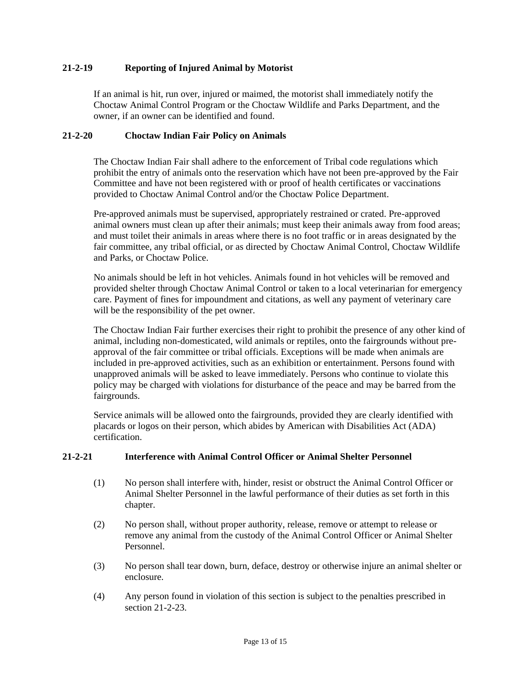#### **21-2-19 Reporting of Injured Animal by Motorist**

If an animal is hit, run over, injured or maimed, the motorist shall immediately notify the Choctaw Animal Control Program or the Choctaw Wildlife and Parks Department, and the owner, if an owner can be identified and found.

#### **21-2-20 Choctaw Indian Fair Policy on Animals**

The Choctaw Indian Fair shall adhere to the enforcement of Tribal code regulations which prohibit the entry of animals onto the reservation which have not been pre-approved by the Fair Committee and have not been registered with or proof of health certificates or vaccinations provided to Choctaw Animal Control and/or the Choctaw Police Department.

Pre-approved animals must be supervised, appropriately restrained or crated. Pre-approved animal owners must clean up after their animals; must keep their animals away from food areas; and must toilet their animals in areas where there is no foot traffic or in areas designated by the fair committee, any tribal official, or as directed by Choctaw Animal Control, Choctaw Wildlife and Parks, or Choctaw Police.

No animals should be left in hot vehicles. Animals found in hot vehicles will be removed and provided shelter through Choctaw Animal Control or taken to a local veterinarian for emergency care. Payment of fines for impoundment and citations, as well any payment of veterinary care will be the responsibility of the pet owner.

The Choctaw Indian Fair further exercises their right to prohibit the presence of any other kind of animal, including non-domesticated, wild animals or reptiles, onto the fairgrounds without preapproval of the fair committee or tribal officials. Exceptions will be made when animals are included in pre-approved activities, such as an exhibition or entertainment. Persons found with unapproved animals will be asked to leave immediately. Persons who continue to violate this policy may be charged with violations for disturbance of the peace and may be barred from the fairgrounds.

Service animals will be allowed onto the fairgrounds, provided they are clearly identified with placards or logos on their person, which abides by American with Disabilities Act (ADA) certification.

#### **21-2-21 Interference with Animal Control Officer or Animal Shelter Personnel**

- (1) No person shall interfere with, hinder, resist or obstruct the Animal Control Officer or Animal Shelter Personnel in the lawful performance of their duties as set forth in this chapter.
- (2) No person shall, without proper authority, release, remove or attempt to release or remove any animal from the custody of the Animal Control Officer or Animal Shelter Personnel.
- (3) No person shall tear down, burn, deface, destroy or otherwise injure an animal shelter or enclosure.
- (4) Any person found in violation of this section is subject to the penalties prescribed in section 21-2-23.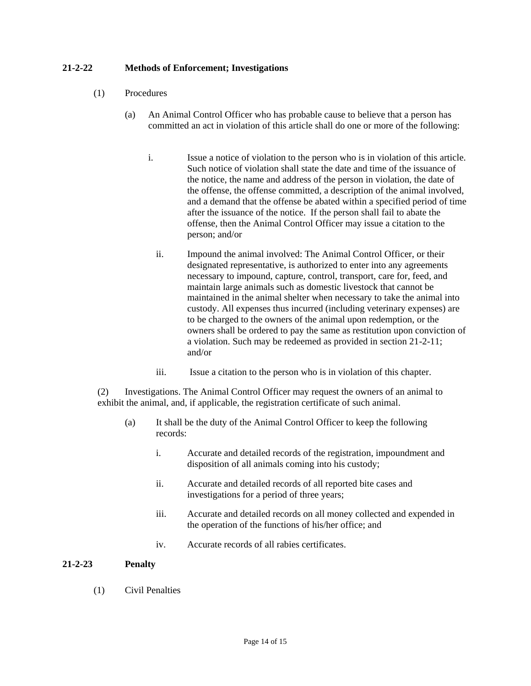### **21-2-22 Methods of Enforcement; Investigations**

- (1) Procedures
	- (a) An Animal Control Officer who has probable cause to believe that a person has committed an act in violation of this article shall do one or more of the following:
		- i. Issue a notice of violation to the person who is in violation of this article. Such notice of violation shall state the date and time of the issuance of the notice, the name and address of the person in violation, the date of the offense, the offense committed, a description of the animal involved, and a demand that the offense be abated within a specified period of time after the issuance of the notice. If the person shall fail to abate the offense, then the Animal Control Officer may issue a citation to the person; and/or
			- ii. Impound the animal involved: The Animal Control Officer, or their designated representative, is authorized to enter into any agreements necessary to impound, capture, control, transport, care for, feed, and maintain large animals such as domestic livestock that cannot be maintained in the animal shelter when necessary to take the animal into custody. All expenses thus incurred (including veterinary expenses) are to be charged to the owners of the animal upon redemption, or the owners shall be ordered to pay the same as restitution upon conviction of a violation. Such may be redeemed as provided in section 21-2-11; and/or
			- iii. Issue a citation to the person who is in violation of this chapter.

(2) Investigations. The Animal Control Officer may request the owners of an animal to exhibit the animal, and, if applicable, the registration certificate of such animal.

- (a) It shall be the duty of the Animal Control Officer to keep the following records:
	- i. Accurate and detailed records of the registration, impoundment and disposition of all animals coming into his custody;
	- ii. Accurate and detailed records of all reported bite cases and investigations for a period of three years;
	- iii. Accurate and detailed records on all money collected and expended in the operation of the functions of his/her office; and
	- iv. Accurate records of all rabies certificates.

#### **21-2-23 Penalty**

(1) Civil Penalties